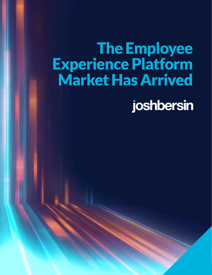# The Employee Experience Platform Market Has Arrived

1 **T H E E M P L O Y E E E X P E R I E N C E P L A T F O R M M A R K E T H A S A R R I V E D** 

joshbersin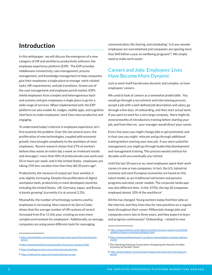# **Introduction**

In this whitepaper, we will discuss the emergence of a new category of HR and workforce productivity software, the employee experience platform (EXP). The EXP provides middleware connectivity, case management, process management, and knowledge management to help companies give their employees a single place to manage work-related tasks, HR requirements, and job transitions. Grown out of the case management and employee portal market, EXPs shield employees from complex and heterogeneous backend systems and give employees a single place to go for a wide range of services. When implemented well, the EXP platform can also enable AI, nudges, mobile apps, and cognitive interfaces to make employees' work lives more productive and engaging.

To understand today's interest in employee experience, let's first examine the problem. Over the last several years, the proliferation of new technologies, coupled with economic growth, have brought complexity to the workdays of most employees. Recent research shows that 27% of workers believe they waste an entire day a week on irrelevant emails and messages<sup>1</sup>; more than 40% of professionals now work over 50 or hours per week, and in the United States, employees are taking 15% less vacation time than they did 20 years ago<sup>2</sup>.

Productivity, the measure of output per hour worked, is only slightly increasing. Despite the proliferation of digital workplace tools, productivity in most developed countries, including the United States, UK, Germany, Japan, and Russia, is barely growing<sup>3</sup> (currently it is at around 2.2%).

Meanwhile, the number of technology systems used by employees is increasing. New research by Sierra Cedar shows that the average number of HR systems of record increased from 8 to 11 this year, creating an even more complex environment for employees<sup>4</sup>. Additionally, on average, companies are using seven different tools for messaging,

- 1 https://www.linkedin.com/pulse/want-happy-work-spend-time-learning-joshbersin/
- 2 https://projecttimeoff.com/reports/state-of-american-vacation-2018/
- 3 https://tradingeconomics.com/united-states/productivity
- 4 https://www.sierra-cedar.com/research/annual-survey/

communication, file sharing, and scheduling.<sup>5</sup> Is it any wonder employees are overwhelmed and companies are spening more than \$40 billion a year on wellbeing programs<sup>6</sup>? We simply need to make work easier.

### Careers and Jobs: Employees' Lives Have Become More Dynamic

Just as work itself has become dynamic and complex, so have employees' careers.

We used to look at careers as a somewhat predictable. You would go through a recruitment and interviewing process, accept a job with a well-defined job description and salary, go through a few days of onboarding, and then start actual work. If you went to work for a very large company, there might be several months of introductory training before starting your job, and from then on, your manager would direct your career.

Every few years you might change jobs or get promoted, and in that case you might relocate and go through additional training before starting your new job. If you were suited for management, you might go through leadership development and management training. This process would continue for decades until you eventually you retired.

Until the last 20 years or so, most employees spent their work careers in one or two companies. In fact, the U.S. industrial economy and most European economies are based on this talent model, as are traditional retirement and pension programs and most career models. The corporate landscape was also different then. In the 1970s, the top 20 companies employed almost 10% of the workforce<sup>7</sup>.

All this has changed. Young workers today find their jobs on the internet, and they interview for new positions on a regular basis throughout their career. Millennials change jobs and companies every two to three years, and they expect to learn and progress continuously<sup>8</sup>. Onboarding - related to new

<sup>5</sup> https://www2.deloitte.com/insights/us/en/focus/human-capital-trends/2018/ network-of-teams-connected-workplace.html

<sup>6</sup> https://www.grandviewresearch.com/press-release/global-corporate-wellnessmarket

<sup>7</sup> The Vanishing American Corporation: Navigating the Hazards of a New Economy, by Gerald F. Davis

<sup>8</sup> https://www.linkedin.com/pulse/want-happy-work-spend-time-learning-joshbersin/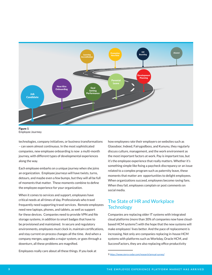

Figure 1 Employee Jourmey

technologies, company initiatives, or business transformations – can seem almost continuous. In the most sophisticated companies, new employee onboarding is now a multi-month journey, with different types of developmental experiences along the way.

Each employee embarks on a unique journey when she joins an organization. Employee journeys will have twists, turns, detours, and maybe even a few bumps, but they will all be full of moments that matter. These moments combine to define the employee experience for your organization.

When it comes to services and support, employees have critical needs at all times of day. Professionals who travel frequently need supporting travel services. Remote employees need new laptops, phones, and tablets, as well as support for these devices. Companies need to provide VPN and file storage systems, in addition to smart badges that have to be provisioned and maintained. In secure and regulatory environments, employees must clock in, maintain certifications, and stay current on process changes all the time. And when a company merges, upgrades a major system, or goes through a downturn, all these problems are magnified.

Employees really care about all these things. If you look at

how employees rate their employers on websites such as Glassdoor, Indeed, Fairygodboss, and Kununu, they regularly discuss culture, management, and the work environment as the most important factors at work. Pay is important too, but it's the employee experience that really matters. Whether it's something simple like fixing a paycheck discrepancy or an issue related to a complex program such as paternity leave, these moments that matter are opportunities to delight employees. When organizations succeed, employees become raving fans. When they fail, employees complain or post comments on social media.

## The State of HR and Workplace **Technology**

Companies are replacing older IT systems with integrated cloud platforms (more than 30% of companies now have cloudbased HCM systems<sup>9</sup>) with the hope that the new systems will make employees' lives better. And the pace of replacement is increasing. Not only are companies replacing in-house HCM systems with platforms such as Workday, Oracle HCM, and SuccessFactors, they are also replacing office productivity

<sup>9</sup> https://www.sierra-cedar.com/research/annual-survey/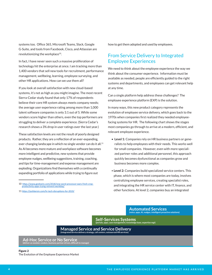systems too. Office 365, Microsoft Teams, Slack, Google G-Suite, and tools from Facebook, Cisco, and Atlassian are revolutionizing the workplace<sup>10</sup>.

In fact, I have never seen such a massive proliferation of technology hit the enterprise at once. I am tracking more than 1,400 vendors that sell new tools for recruitment, performance management, wellbeing, learning, employee surveying, and other HR applications. How can we use them all?

If you look at overall satisfaction with new cloud-based systems, it's not as high as you might imagine. The most recent Sierra-Cedar study found that only 17% of respondents believe their core HR system always meets company needs; the average user experience rating among more than 1,000 talent software companies is only 3.1 out of 5. While some vendors score higher than others, even the top performers are struggling to deliver a complete experience. (Sierra Cedar's research shows a 3% drop in user ratings over the last year.)

These satisfaction levels are not the result of poorly designed products. Rather, they are a reflection of an ever-expanding, ever-changing landscape in which no single vendor can do it all.<sup>11</sup> As AI becomes more mature and workplace software becomes more intelligent and predictive, new systems that provide employee nudges, wellbeing suggestions, training, coaching, and tips for time-management and expense management are exploding. Organizations find themselves with a continually expanding portfolio of applications while trying to figure out

10 https://www.geekwire.com/2018/new-word-processor-wars-fresh-cropproductivity-apps-trying-reinvent-workday/

11 https://joshbersin.com/hr-tech-disruptions-for-2019/

how to get them adopted and used by employees.

## From Service Delivery to Integrated Employee Experiences

We need to think about the employee experience the way we think about the consumer experience. Information must be available as needed, people are efficiently guided to the right systems and departments, and employees can get relevant help at any time.

Can a single platform help address these challenges? The employee experience platform (EXP) is the solution.

In many ways, this new product category represents the evolution of employee service delivery, which goes back to the 1970s when companies first realized they needed employeefacing systems for HR. The following chart shows the stages most companies go through to arrive at a modern, efficient, and relevant employee experience.

- **Level 1:** Companies rely on HR business partners or generalists to help employees with their needs. This works well for small companies. However, even with more specialized partner roles and additional personnel, this approach quickly becomes dysfunctional as companies grow and business becomes more complex.
- **Level 2:** Companies build specialized service centers. This phase, which is where most companies are today, involves centralizing employee services, creating specialist roles, and integrating the HR service center with IT, finance, and other functions. At level 2, companies buy an integrated

### **Automated Services**

**(voice, apps, AI, nudges, intelligent proactive solutions)**

**Self-Services Systems (portals, apps, case management, knowledge base, expertise mgt)**

**Managed Service and Service Delivery (integrated service delivery strategy, call centers, outsourced HR services)**

**Ad-Hoc Service or No Service (deliver as needed, random, business partner driven, difficult to manage)**

### Figure 2 The Evolution of the Employee Experience Market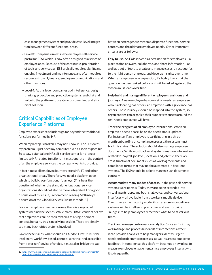case management system and provide case-level integration between different functional areas.

- **Level 3:** Companies invest in the employee self-service portal (or ESS), which is now often designed as a series of employee apps. Because of the continuous proliferation of tools and services, an ESS typically requires significant ongoing investment and maintenance, and often requires resources from IT, finance, employee communications, and other functions.
- **Level 4:** At this level, companies add intelligence, design thinking, proactive and predictive systems, and chat and voice to the platform to create a consumerized and efficient solution.

### Critical Capabilities of Employee Experience Platforms

Employee experience solutions go far beyond the traditional functions performed by HR.

When my laptop is broken, I may not know if IT or HR "owns" my problem. I just need my computer fixed as soon as possible. So today, a standalone HR self-service center is no longer limited to HR-related functions. It must operate in the context of all the employee services the company wants to provide.

In fact almost all employee journeys cross HR, IT, and other organizational areas. Therefore, we need a platform upon which to build cross-functional journeys. (This begs the question of whether the standalone functional service organizations should not also be more integrated. For a good discussion of this issue, I recommend reading McKinsey's discussion of the Global Services Business model<sup>12</sup>.)

For each employee need or journey, there is a myriad of systems behind the scenes. While many HRMS vendors believe that employees can use their systems as a single point of contact, in reality this is nearly impossible. There are simply too many back-office systems involved.

Given these issues, what should an EXP do? First, it must be intelligent, workflow-based, context-sensitive, and accessible from a workers' device of choice. It must also bridge the gap

between heterogenous systems, disparate functional service centers, and the ultimate employee needs. Other important criteria are as follows:

**Easy to use.** An EXP serves as a destination for employees -- a place to find answers, collaborate, and share information – as well as a set of tools to create and manage cases, direct queries to the right person or group, and develop insights over time. When an employee asks a question, it's highly likely that the question has been asked before and will be asked again, so the system must learn over time.

**Help build and manage different employee transitions and journeys.** A new employee has one set of needs; an employee who is relocating has others; an employee with a grievance has others. These journeys should be mapped into the system, so organizations can organize their support resources around the real needs employees will have.

**Track the progress of all employee interactions.** When an employee opens a case, he or she needs status updates. For instance, if an employee is participating in a threemonth onboarding or compliance process, the system must track his status. The solution should also manage employee documents. While most back-end systems manage information related to payroll, job level, location, and job title, there are cross-functional documents such as work agreements and compliance forms that may not be automated in back-end systems. The EXP should be able to manage such documents centrally.

**Accommodate many modes of access.** In the past, self-service systems were portals. Today they are being extended into virtual agents, apps, and both chat, voice, and conversational interfaces -- all available from a worker's mobile device. Over time, as the maturity model illustrates, service-delivery systems will be intelligent, predictive, and even provide "nudges" to help employees remember what to do at various times.

**Track and manage performance analytics.** Since an EXP may well manage and process hundreds of interactions a week, it can provide analytics to help managers identify urgent needs and problematic processes, as well as assess employee feedback. In some sense, this platform becomes a new place to measure employee engagement, since employees interact with it so frequently.

<sup>12</sup> https://www.mckinsey.com/business-functions/digital-mckinsey/our-insights/ does-the-global-business-services-model-still-matter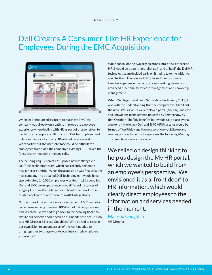# Dell Creates A Consumer-Like HR Experience for Employees During the EMC Acquisition



.When Dell announced its intent to purchase EMC, the company was already on a path to improve the employee experience when dealing with HR as part of a larger effort to modernize its corporate HR function. Dell had implemented online self-service for many HR-related tasks several years earlier, but the user interface could be difficult for employees to use, and the company's existing HRIS lacked the functionality needed to manage calls.

The pending acquisition of EMC posed new challenges to Dell's HR technology team, which had recently selected a new enterprise HRIS. When the acquisition was finalized, the new company – to be called Dell Technologies – would have approximately 140,000 employees working in 180 countries. Dell and EMC were operating on two different instances of a legacy HRIS and had a large portfolio of other workforcerelated applications with more than 400 integrations.

"At the time of the acquisition announcement, EMC was also considering moving to a new HRIS but not to the system we had selected. So, we had to go back to the drawing board to ensure our selection could scale to our needs post-acquisition," said HR Director Mairead Coughlan. "We also had to rescale our own vision to encompass all of the work needed to bring together two large workforces into a single employee experience."

While consolidating two organizations into a new enterprise HRIS would be a daunting challenge in and of itself, the Dell HR technology team decided early on it had to take the initiative even further. The selected HRIS lacked the consumerlike user experience the company was seeking, as well as advanced functionality for case management and knowledge management.

When Dell began work with ServiceNow in January 2017, it was with the understanding that the company would roll out the new HRIS as well as an employee portal (My HR), and case and knowledge management, powered by ServiceNow by that October. The "big bang" rollout would take place over a weekend – the legacy Dell and EMC HRIS systems would be turned off on Friday and the new solution would be up and running and available to all employees the following Monday. The launch date was immovable.

We relied on design thinking to help us design the My HR portal, which we wanted to build from an employee's perspective. We envisioned it as a 'front door' to HR information, which would clearly direct employees to the information and services needed in the moment.

Mairead Coughlan HR Director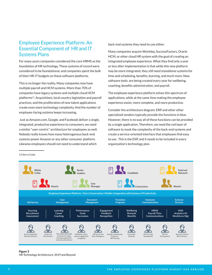# Employee Experience Platform: An Essential Component of HR and IT Systems Plans

For many years companies considered the core HRMS as the foundation of HR technology. These systems of record were considered to be foundational, and companies spent the bulk of their HR-IT budgets on these software platforms.

This is no longer the reality. Many companies now have multiple payroll and HCM systems. More than 70% of companies have legacy systems and multiple cloud HCM platforms<sup>13</sup>. Acquisitions, local country legislation and payroll practices, and the proliferation of new talent applications create even more technology complexity. And the number of employee-facing systems keeps increasing.

 Just as Amazon.com, Google, and Facebook deliver a single, integrated, productive experience to consumers, we need a similar "user-centric" architecture for employees as well. Nobody really knows how many heterogenous back-end systems power Amazon or any other consumer platform. Likewise employees should not need to understand which

13 Sierra Cedar

back-end systems they need to use either.

Many companies acquire Workday, SuccessFactors, Oracle HCM, or other cloud HR system with the goal of creating an integrated employee experience. What they find only a year or less after implementation is that while this new platform may be more integrated, they still need standalone systems for time and scheduling, benefits, learning, and much more. New software tools are being created every year for wellbeing, coaching, benefits administration, and payroll.

The employee experience platform solves this spectrum of applications, while at the same time making the employee experience easier, more complete, and more productive.

Consider the architecture diagram. ERP and other other specialized vendors typically provide the functions in blue. However, there is no way all of these functions can be provided by a single application. Therefore, we need the red layer of software to mask the complexity of the back-end systems and create a service-oriented interface that employees find easy to use. This is the EXP, and it needs to be included in every organization's technology plan.



#### Figure 3 HR Technology Architecture: 2019 and Beyond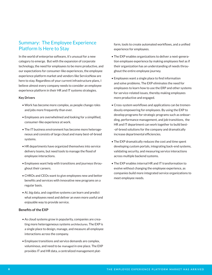### Summary: The Employee Experience Platform Is Here to Stay

In the world of enterprise software, it's unusual for a new category to emerge. But with the expansion of corporate technology, the need for employees to be more productive, and our expectations for consumer-like experiences, the employee experience platform market and vendors like ServiceNow are here to stay. Regardless of your current infrastructure plans, I believe almost every company needs to consider an employee experience platform in their HR and IT systems strategies.

### **Key Drivers**

- Work has become more complex, as people change roles and jobs more frequently than ever.
- Employees are overwhelmed and looking for a simplified, consumer-like experience at work.
- The IT business environment has become more heterogeneous and consists of large cloud and many best-of-breed systems.
- HR departments have organized themselves into service delivery teams, but need tools to manage the flood of employee interactions.
- Employees want help with transitions and journeys throughout their careers.
- CHROs and CEOs want to give employees new and better benefits and services with innovative new programs on a regular basis.
- AI, big data, and cognitive systems can learn and predict what employees need and deliver an even more useful and enjoyable way to provide service.

### **Benefits of the EXP**

- As cloud systems grow in popularity, companies are creating more heterogeneous systems architectures. The EXP is a single place to design, manage, and measure all employee interactions across the company.
- Employee transitions and service demands are complex, voluminous, and need to be managed in one place. The EXP provides IT and HR data, a centralized management plat-

form, tools to create automated workflows, and a unified experience for employees.

- The EXP enables organizations to deliver a next-generation employee experience by making employees feel as if their organization has an understanding of needs throughout the entire employee journey.
- Employees want a single place to find information and solve problems. The EXP eliminates the need for employees to learn how to use the ERP and other systems for service-related issues, thereby making employees more productive and engaged.
- Cross-system workflows and applications can be tremendously empowering for employees. By using the EXP to develop programs for strategic programs such as onboarding, performance management, and job transitions, the HR and IT department can work together to build best- -of-breed solutions for the company and dramatically increase departmental efficiencies.
- The EXP dramatically reduces the cost and time spent developing custom portals, integrating back-end systems, validating security, and measuring service interactions across multiple backend systems.
- The EXP enables internal HR and IT transformation to evolve without changing the employee experience, as companies build more integrated service organizations to meet employee needs.